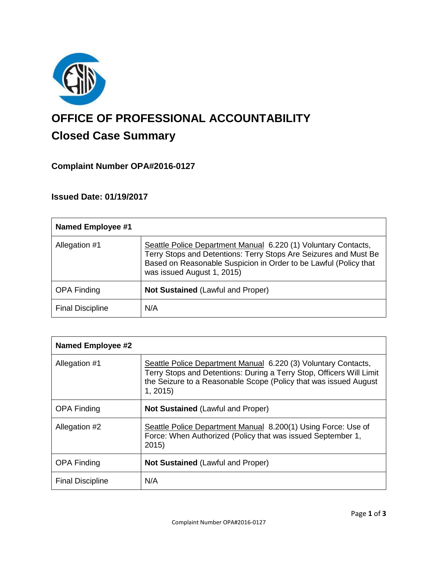

# **OFFICE OF PROFESSIONAL ACCOUNTABILITY Closed Case Summary**

# **Complaint Number OPA#2016-0127**

## **Issued Date: 01/19/2017**

| <b>Named Employee #1</b> |                                                                                                                                                                                                                                      |
|--------------------------|--------------------------------------------------------------------------------------------------------------------------------------------------------------------------------------------------------------------------------------|
| Allegation #1            | Seattle Police Department Manual 6.220 (1) Voluntary Contacts,<br>Terry Stops and Detentions: Terry Stops Are Seizures and Must Be<br>Based on Reasonable Suspicion in Order to be Lawful (Policy that<br>was issued August 1, 2015) |
| <b>OPA Finding</b>       | <b>Not Sustained (Lawful and Proper)</b>                                                                                                                                                                                             |
| <b>Final Discipline</b>  | N/A                                                                                                                                                                                                                                  |

| <b>Named Employee #2</b> |                                                                                                                                                                                                                       |
|--------------------------|-----------------------------------------------------------------------------------------------------------------------------------------------------------------------------------------------------------------------|
| Allegation #1            | Seattle Police Department Manual 6.220 (3) Voluntary Contacts,<br>Terry Stops and Detentions: During a Terry Stop, Officers Will Limit<br>the Seizure to a Reasonable Scope (Policy that was issued August<br>1, 2015 |
| <b>OPA Finding</b>       | <b>Not Sustained (Lawful and Proper)</b>                                                                                                                                                                              |
| Allegation #2            | Seattle Police Department Manual 8.200(1) Using Force: Use of<br>Force: When Authorized (Policy that was issued September 1,<br>2015)                                                                                 |
| <b>OPA Finding</b>       | <b>Not Sustained (Lawful and Proper)</b>                                                                                                                                                                              |
| <b>Final Discipline</b>  | N/A                                                                                                                                                                                                                   |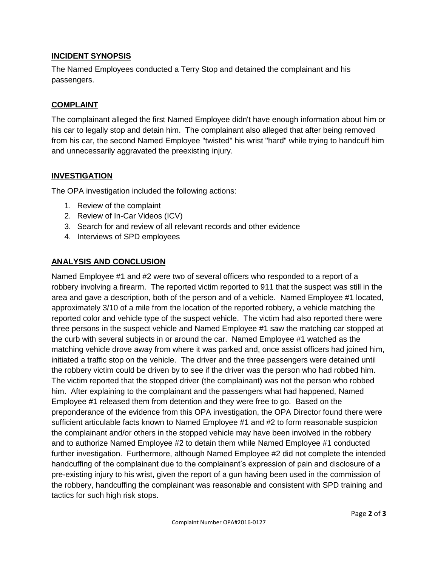## **INCIDENT SYNOPSIS**

The Named Employees conducted a Terry Stop and detained the complainant and his passengers.

### **COMPLAINT**

The complainant alleged the first Named Employee didn't have enough information about him or his car to legally stop and detain him. The complainant also alleged that after being removed from his car, the second Named Employee "twisted" his wrist "hard" while trying to handcuff him and unnecessarily aggravated the preexisting injury.

## **INVESTIGATION**

The OPA investigation included the following actions:

- 1. Review of the complaint
- 2. Review of In-Car Videos (ICV)
- 3. Search for and review of all relevant records and other evidence
- 4. Interviews of SPD employees

## **ANALYSIS AND CONCLUSION**

Named Employee #1 and #2 were two of several officers who responded to a report of a robbery involving a firearm. The reported victim reported to 911 that the suspect was still in the area and gave a description, both of the person and of a vehicle. Named Employee #1 located, approximately 3/10 of a mile from the location of the reported robbery, a vehicle matching the reported color and vehicle type of the suspect vehicle. The victim had also reported there were three persons in the suspect vehicle and Named Employee #1 saw the matching car stopped at the curb with several subjects in or around the car. Named Employee #1 watched as the matching vehicle drove away from where it was parked and, once assist officers had joined him, initiated a traffic stop on the vehicle. The driver and the three passengers were detained until the robbery victim could be driven by to see if the driver was the person who had robbed him. The victim reported that the stopped driver (the complainant) was not the person who robbed him. After explaining to the complainant and the passengers what had happened, Named Employee #1 released them from detention and they were free to go. Based on the preponderance of the evidence from this OPA investigation, the OPA Director found there were sufficient articulable facts known to Named Employee #1 and #2 to form reasonable suspicion the complainant and/or others in the stopped vehicle may have been involved in the robbery and to authorize Named Employee #2 to detain them while Named Employee #1 conducted further investigation. Furthermore, although Named Employee #2 did not complete the intended handcuffing of the complainant due to the complainant's expression of pain and disclosure of a pre-existing injury to his wrist, given the report of a gun having been used in the commission of the robbery, handcuffing the complainant was reasonable and consistent with SPD training and tactics for such high risk stops.